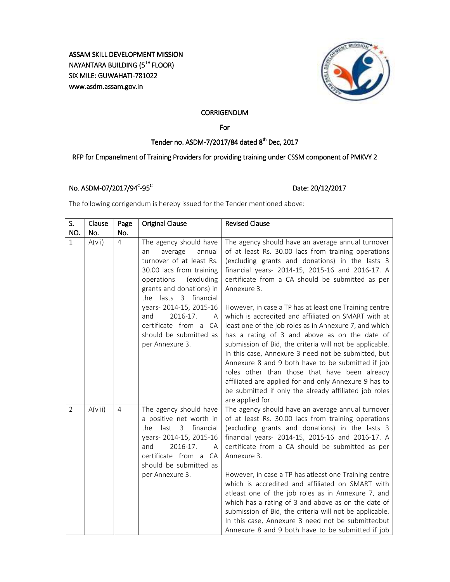# ASSAM SKILL DEVELOPMENT MISSION NAYANTARA BUILDING (5TH FLOOR) SIX MILE: GUWAHATI-781022 www.asdm.assam.gov.in



## **CORRIGENDUM**

For

## Tender no. ASDM-7/2017/84 dated 8<sup>th</sup> Dec, 2017

# RFP for Empanelment of Training Providers for providing training under CSSM component of PMKVY 2

## No. ASDM-07/2017/94<sup>c</sup>-95<sup>c</sup>

## Date: 20/12/2017

The following corrigendum is hereby issued for the Tender mentioned above:

| S.             | Clause  | Page           | Original Clause                                                                                                                                                                                                                                                                                                    | <b>Revised Clause</b>                                                                                                                                                                                                                                                                                                                                                                                                                                                                                                                                                                                                                                                                                                                                                                                                                                                        |
|----------------|---------|----------------|--------------------------------------------------------------------------------------------------------------------------------------------------------------------------------------------------------------------------------------------------------------------------------------------------------------------|------------------------------------------------------------------------------------------------------------------------------------------------------------------------------------------------------------------------------------------------------------------------------------------------------------------------------------------------------------------------------------------------------------------------------------------------------------------------------------------------------------------------------------------------------------------------------------------------------------------------------------------------------------------------------------------------------------------------------------------------------------------------------------------------------------------------------------------------------------------------------|
| NO.            | No.     | No.            |                                                                                                                                                                                                                                                                                                                    |                                                                                                                                                                                                                                                                                                                                                                                                                                                                                                                                                                                                                                                                                                                                                                                                                                                                              |
| $\mathbf{1}$   | A(vii)  | $\overline{4}$ | The agency should have<br>annual<br>average<br>an<br>turnover of at least Rs.<br>30.00 lacs from training<br>operations<br>(excluding<br>grants and donations) in<br>the lasts 3 financial<br>years-2014-15, 2015-16<br>2016-17.<br>and<br>A<br>certificate from a CA<br>should be submitted as<br>per Annexure 3. | The agency should have an average annual turnover<br>of at least Rs. 30.00 lacs from training operations<br>(excluding grants and donations) in the lasts 3<br>financial years- 2014-15, 2015-16 and 2016-17. A<br>certificate from a CA should be submitted as per<br>Annexure 3.<br>However, in case a TP has at least one Training centre<br>which is accredited and affiliated on SMART with at<br>least one of the job roles as in Annexure 7, and which<br>has a rating of 3 and above as on the date of<br>submission of Bid, the criteria will not be applicable.<br>In this case, Annexure 3 need not be submitted, but<br>Annexure 8 and 9 both have to be submitted if job<br>roles other than those that have been already<br>affiliated are applied for and only Annexure 9 has to<br>be submitted if only the already affiliated job roles<br>are applied for. |
| $\overline{2}$ | A(viii) | $\overline{4}$ | The agency should have<br>a positive net worth in<br>the<br>last 3 financial<br>years-2014-15, 2015-16<br>2016-17.<br>and<br>А<br>certificate from a CA<br>should be submitted as<br>per Annexure 3.                                                                                                               | The agency should have an average annual turnover<br>of at least Rs. 30.00 lacs from training operations<br>(excluding grants and donations) in the lasts 3<br>financial years- 2014-15, 2015-16 and 2016-17. A<br>certificate from a CA should be submitted as per<br>Annexure 3.<br>However, in case a TP has atleast one Training centre<br>which is accredited and affiliated on SMART with<br>atleast one of the job roles as in Annexure 7, and<br>which has a rating of 3 and above as on the date of<br>submission of Bid, the criteria will not be applicable.<br>In this case, Annexure 3 need not be submittedbut<br>Annexure 8 and 9 both have to be submitted if job                                                                                                                                                                                            |